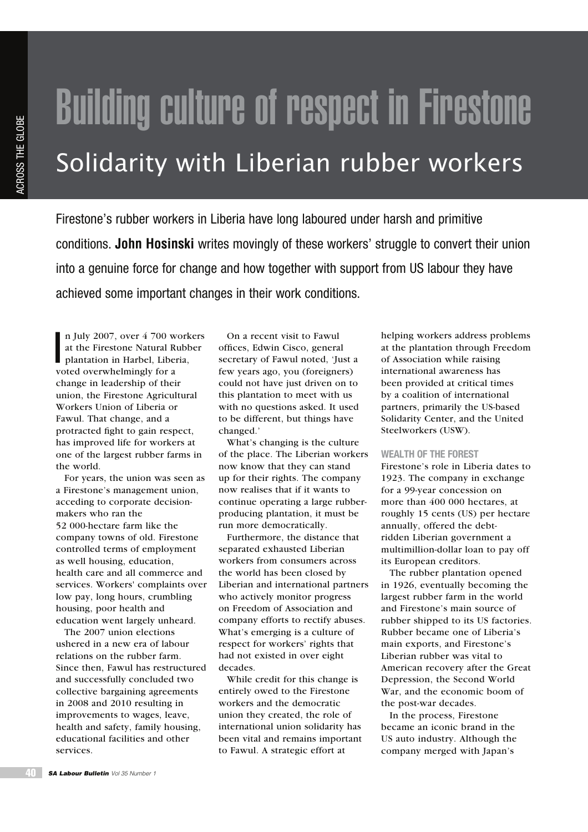# Building culture of respect in Firestone Solidarity with Liberian rubber workers

Firestone's rubber workers in Liberia have long laboured under harsh and primitive conditions. **John Hosinski** writes movingly of these workers' struggle to convert their union into a genuine force for change and how together with support from US labour they have achieved some important changes in their work conditions.

n July 2007, over 4 700 w<br>at the Firestone Natural Ry<br>plantation in Harbel, Liber<br>voted overwhelmingly for a n July 2007, over 4 700 workers at the Firestone Natural Rubber plantation in Harbel, Liberia, change in leadership of their union, the Firestone Agricultural Workers Union of Liberia or Fawul. That change, and a protracted fight to gain respect, has improved life for workers at one of the largest rubber farms in the world.

For years, the union was seen as a Firestone's management union, acceding to corporate decisionmakers who ran the 52 000-hectare farm like the company towns of old. Firestone controlled terms of employment as well housing, education, health care and all commerce and services. Workers' complaints over low pay, long hours, crumbling housing, poor health and education went largely unheard.

The 2007 union elections ushered in a new era of labour relations on the rubber farm. Since then, Fawul has restructured and successfully concluded two collective bargaining agreements in 2008 and 2010 resulting in improvements to wages, leave, health and safety, family housing, educational facilities and other services.

On a recent visit to Fawul offices, Edwin Cisco, general secretary of Fawul noted, 'Just a few years ago, you (foreigners) could not have just driven on to this plantation to meet with us with no questions asked. It used to be different, but things have changed.'

What's changing is the culture of the place. The Liberian workers now know that they can stand up for their rights. The company now realises that if it wants to continue operating a large rubberproducing plantation, it must be run more democratically.

Furthermore, the distance that separated exhausted Liberian workers from consumers across the world has been closed by Liberian and international partners who actively monitor progress on Freedom of Association and company efforts to rectify abuses. What's emerging is a culture of respect for workers' rights that had not existed in over eight decades.

While credit for this change is entirely owed to the Firestone workers and the democratic union they created, the role of international union solidarity has been vital and remains important to Fawul. A strategic effort at

helping workers address problems at the plantation through Freedom of Association while raising international awareness has been provided at critical times by a coalition of international partners, primarily the US-based Solidarity Center, and the United Steelworkers (USW).

## **WEALTH OF THE FOREST**

Firestone's role in Liberia dates to 1923. The company in exchange for a 99-year concession on more than 400 000 hectares, at roughly 15 cents (US) per hectare annually, offered the debtridden Liberian government a multimillion-dollar loan to pay off its European creditors.

The rubber plantation opened in 1926, eventually becoming the largest rubber farm in the world and Firestone's main source of rubber shipped to its US factories. Rubber became one of Liberia's main exports, and Firestone's Liberian rubber was vital to American recovery after the Great Depression, the Second World War, and the economic boom of the post-war decades.

In the process, Firestone became an iconic brand in the US auto industry. Although the company merged with Japan's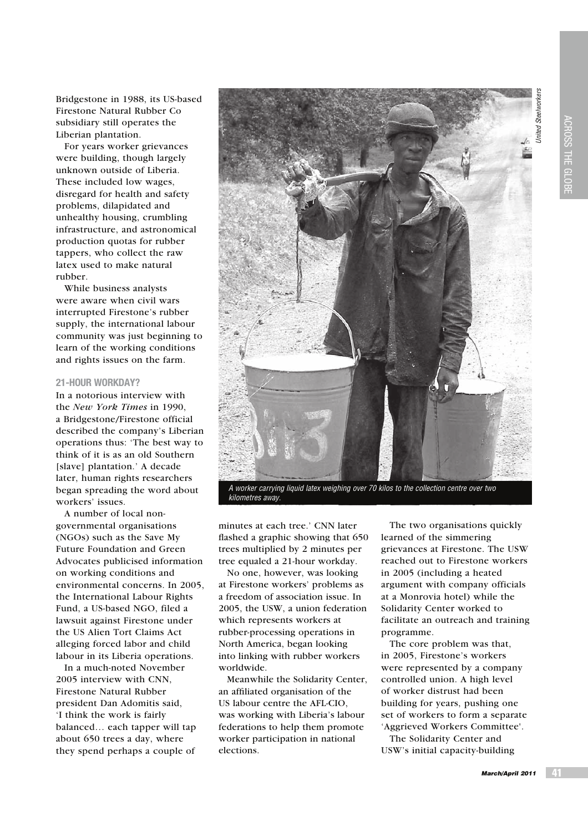Bridgestone in 1988, its US-based Firestone Natural Rubber Co subsidiary still operates the Liberian plantation.

For years worker grievances were building, though largely unknown outside of Liberia. These included low wages, disregard for health and safety problems, dilapidated and unhealthy housing, crumbling infrastructure, and astronomical production quotas for rubber tappers, who collect the raw latex used to make natural rubber.

While business analysts were aware when civil wars interrupted Firestone's rubber supply, the international labour community was just beginning to learn of the working conditions and rights issues on the farm.

# **21-HOUR WORKDAY?**

In a notorious interview with the *New York Times* in 1990, a Bridgestone/Firestone official described the company's Liberian operations thus: 'The best way to think of it is as an old Southern [slave] plantation.' A decade later, human rights researchers began spreading the word about workers' issues.

A number of local nongovernmental organisations (NGOs) such as the Save My Future Foundation and Green Advocates publicised information on working conditions and environmental concerns. In 2005, the International Labour Rights Fund, a US-based NGO, filed a lawsuit against Firestone under the US Alien Tort Claims Act alleging forced labor and child labour in its Liberia operations.

In a much-noted November 2005 interview with CNN, Firestone Natural Rubber president Dan Adomitis said, 'I think the work is fairly balanced… each tapper will tap about 650 trees a day, where they spend perhaps a couple of



minutes at each tree.' CNN later flashed a graphic showing that 650 trees multiplied by 2 minutes per

tree equaled a 21-hour workday. No one, however, was looking at Firestone workers' problems as a freedom of association issue. In 2005, the USW, a union federation which represents workers at rubber-processing operations in North America, began looking into linking with rubber workers worldwide.

Meanwhile the Solidarity Center, an affiliated organisation of the US labour centre the AFL-CIO, was working with Liberia's labour federations to help them promote worker participation in national elections.

The two organisations quickly learned of the simmering grievances at Firestone. The USW reached out to Firestone workers in 2005 (including a heated argument with company officials at a Monrovia hotel) while the Solidarity Center worked to facilitate an outreach and training programme.

The core problem was that, in 2005, Firestone's workers were represented by a company controlled union. A high level of worker distrust had been building for years, pushing one set of workers to form a separate 'Aggrieved Workers Committee'.

The Solidarity Center and USW's initial capacity-building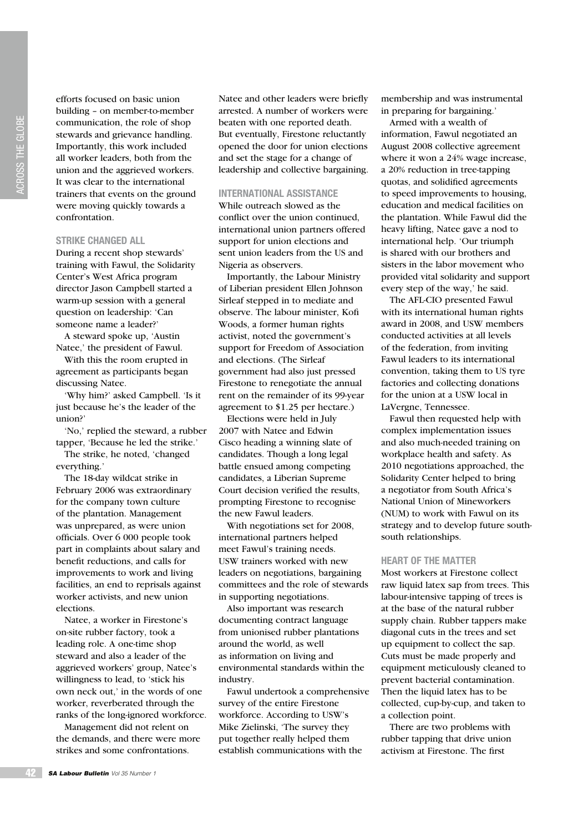efforts focused on basic union building – on member-to-member communication, the role of shop stewards and grievance handling. Importantly, this work included all worker leaders, both from the union and the aggrieved workers. It was clear to the international trainers that events on the ground were moving quickly towards a confrontation.

### **STRIKE CHANGED ALL**

During a recent shop stewards' training with Fawul, the Solidarity Center's West Africa program director Jason Campbell started a warm-up session with a general question on leadership: 'Can someone name a leader?'

A steward spoke up, 'Austin Natee,' the president of Fawul.

With this the room erupted in agreement as participants began discussing Natee.

'Why him?' asked Campbell. 'Is it just because he's the leader of the union?'

'No,' replied the steward, a rubber tapper, 'Because he led the strike.'

The strike, he noted, 'changed everything.'

The 18-day wildcat strike in February 2006 was extraordinary for the company town culture of the plantation. Management was unprepared, as were union officials. Over 6 000 people took part in complaints about salary and benefit reductions, and calls for improvements to work and living facilities, an end to reprisals against worker activists, and new union elections.

Natee, a worker in Firestone's on-site rubber factory, took a leading role. A one-time shop steward and also a leader of the aggrieved workers' group, Natee's willingness to lead, to 'stick his own neck out,' in the words of one worker, reverberated through the ranks of the long-ignored workforce.

Management did not relent on the demands, and there were more strikes and some confrontations.

Natee and other leaders were briefly arrested. A number of workers were beaten with one reported death. But eventually, Firestone reluctantly opened the door for union elections and set the stage for a change of leadership and collective bargaining.

# **INTERNATIONAL ASSISTANCE**

While outreach slowed as the conflict over the union continued, international union partners offered support for union elections and sent union leaders from the US and Nigeria as observers.

Importantly, the Labour Ministry of Liberian president Ellen Johnson Sirleaf stepped in to mediate and observe. The labour minister, Kofi Woods, a former human rights activist, noted the government's support for Freedom of Association and elections. (The Sirleaf government had also just pressed Firestone to renegotiate the annual rent on the remainder of its 99-year agreement to \$1.25 per hectare.)

Elections were held in July 2007 with Natee and Edwin Cisco heading a winning slate of candidates. Though a long legal battle ensued among competing candidates, a Liberian Supreme Court decision verified the results, prompting Firestone to recognise the new Fawul leaders.

With negotiations set for 2008, international partners helped meet Fawul's training needs. USW trainers worked with new leaders on negotiations, bargaining committees and the role of stewards in supporting negotiations.

Also important was research documenting contract language from unionised rubber plantations around the world, as well as information on living and environmental standards within the industry.

Fawul undertook a comprehensive survey of the entire Firestone workforce. According to USW's Mike Zielinski, 'The survey they put together really helped them establish communications with the

membership and was instrumental in preparing for bargaining.'

Armed with a wealth of information, Fawul negotiated an August 2008 collective agreement where it won a 24% wage increase, a 20% reduction in tree-tapping quotas, and solidified agreements to speed improvements to housing, education and medical facilities on the plantation. While Fawul did the heavy lifting, Natee gave a nod to international help. 'Our triumph is shared with our brothers and sisters in the labor movement who provided vital solidarity and support every step of the way,' he said.

The AFL-CIO presented Fawul with its international human rights award in 2008, and USW members conducted activities at all levels of the federation, from inviting Fawul leaders to its international convention, taking them to US tyre factories and collecting donations for the union at a USW local in LaVergne, Tennessee.

Fawul then requested help with complex implementation issues and also much-needed training on workplace health and safety. As 2010 negotiations approached, the Solidarity Center helped to bring a negotiator from South Africa's National Union of Mineworkers (NUM) to work with Fawul on its strategy and to develop future southsouth relationships.

### **HEART OF THE MATTER**

Most workers at Firestone collect raw liquid latex sap from trees. This labour-intensive tapping of trees is at the base of the natural rubber supply chain. Rubber tappers make diagonal cuts in the trees and set up equipment to collect the sap. Cuts must be made properly and equipment meticulously cleaned to prevent bacterial contamination. Then the liquid latex has to be collected, cup-by-cup, and taken to a collection point.

There are two problems with rubber tapping that drive union activism at Firestone. The first